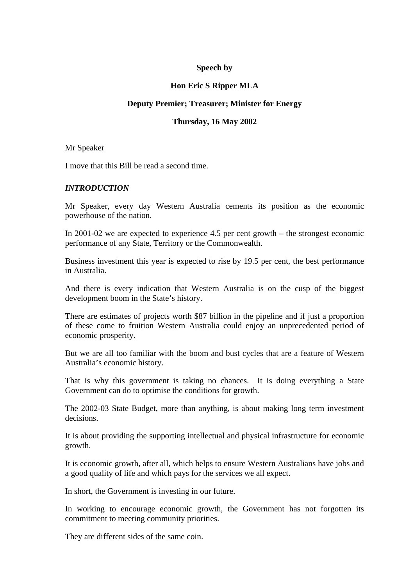# **Speech by**

# **Hon Eric S Ripper MLA**

# **Deputy Premier; Treasurer; Minister for Energy**

# **Thursday, 16 May 2002**

Mr Speaker

I move that this Bill be read a second time.

# *INTRODUCTION*

Mr Speaker, every day Western Australia cements its position as the economic powerhouse of the nation.

In 2001-02 we are expected to experience 4.5 per cent growth – the strongest economic performance of any State, Territory or the Commonwealth.

Business investment this year is expected to rise by 19.5 per cent, the best performance in Australia.

And there is every indication that Western Australia is on the cusp of the biggest development boom in the State's history.

There are estimates of projects worth \$87 billion in the pipeline and if just a proportion of these come to fruition Western Australia could enjoy an unprecedented period of economic prosperity.

But we are all too familiar with the boom and bust cycles that are a feature of Western Australia's economic history.

That is why this government is taking no chances. It is doing everything a State Government can do to optimise the conditions for growth.

The 2002-03 State Budget, more than anything, is about making long term investment decisions.

It is about providing the supporting intellectual and physical infrastructure for economic growth.

It is economic growth, after all, which helps to ensure Western Australians have jobs and a good quality of life and which pays for the services we all expect.

In short, the Government is investing in our future.

In working to encourage economic growth, the Government has not forgotten its commitment to meeting community priorities.

They are different sides of the same coin.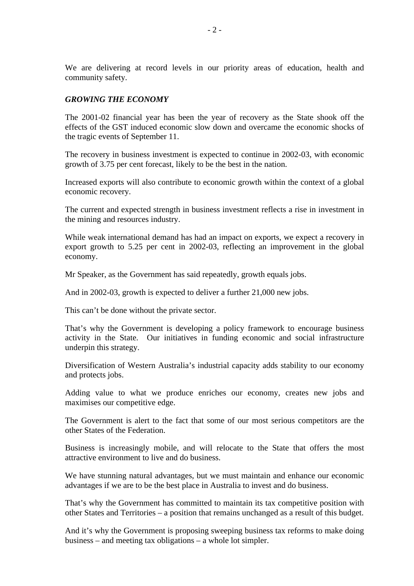We are delivering at record levels in our priority areas of education, health and community safety.

# *GROWING THE ECONOMY*

The 2001-02 financial year has been the year of recovery as the State shook off the effects of the GST induced economic slow down and overcame the economic shocks of the tragic events of September 11.

The recovery in business investment is expected to continue in 2002-03, with economic growth of 3.75 per cent forecast, likely to be the best in the nation.

Increased exports will also contribute to economic growth within the context of a global economic recovery.

The current and expected strength in business investment reflects a rise in investment in the mining and resources industry.

While weak international demand has had an impact on exports, we expect a recovery in export growth to 5.25 per cent in 2002-03, reflecting an improvement in the global economy.

Mr Speaker, as the Government has said repeatedly, growth equals jobs.

And in 2002-03, growth is expected to deliver a further 21,000 new jobs.

This can't be done without the private sector.

That's why the Government is developing a policy framework to encourage business activity in the State. Our initiatives in funding economic and social infrastructure underpin this strategy.

Diversification of Western Australia's industrial capacity adds stability to our economy and protects jobs.

Adding value to what we produce enriches our economy, creates new jobs and maximises our competitive edge.

The Government is alert to the fact that some of our most serious competitors are the other States of the Federation.

Business is increasingly mobile, and will relocate to the State that offers the most attractive environment to live and do business.

We have stunning natural advantages, but we must maintain and enhance our economic advantages if we are to be the best place in Australia to invest and do business.

That's why the Government has committed to maintain its tax competitive position with other States and Territories – a position that remains unchanged as a result of this budget.

And it's why the Government is proposing sweeping business tax reforms to make doing business – and meeting tax obligations – a whole lot simpler.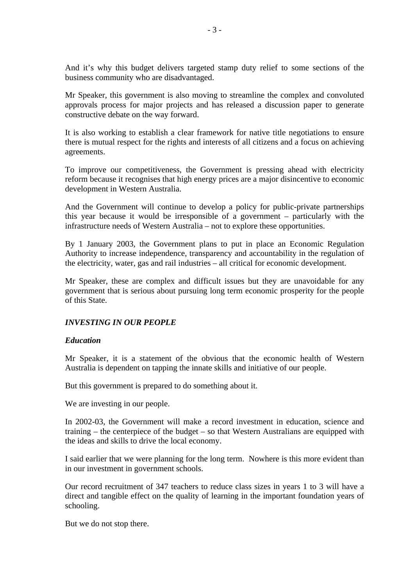And it's why this budget delivers targeted stamp duty relief to some sections of the business community who are disadvantaged.

Mr Speaker, this government is also moving to streamline the complex and convoluted approvals process for major projects and has released a discussion paper to generate constructive debate on the way forward.

It is also working to establish a clear framework for native title negotiations to ensure there is mutual respect for the rights and interests of all citizens and a focus on achieving agreements.

To improve our competitiveness, the Government is pressing ahead with electricity reform because it recognises that high energy prices are a major disincentive to economic development in Western Australia.

And the Government will continue to develop a policy for public-private partnerships this year because it would be irresponsible of a government – particularly with the infrastructure needs of Western Australia – not to explore these opportunities.

By 1 January 2003, the Government plans to put in place an Economic Regulation Authority to increase independence, transparency and accountability in the regulation of the electricity, water, gas and rail industries – all critical for economic development.

Mr Speaker, these are complex and difficult issues but they are unavoidable for any government that is serious about pursuing long term economic prosperity for the people of this State.

# *INVESTING IN OUR PEOPLE*

# *Education*

Mr Speaker, it is a statement of the obvious that the economic health of Western Australia is dependent on tapping the innate skills and initiative of our people.

But this government is prepared to do something about it.

We are investing in our people.

In 2002-03, the Government will make a record investment in education, science and training – the centerpiece of the budget – so that Western Australians are equipped with the ideas and skills to drive the local economy.

I said earlier that we were planning for the long term. Nowhere is this more evident than in our investment in government schools.

Our record recruitment of 347 teachers to reduce class sizes in years 1 to 3 will have a direct and tangible effect on the quality of learning in the important foundation years of schooling.

But we do not stop there.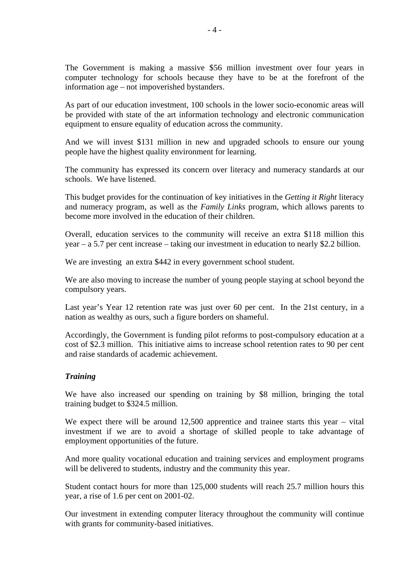The Government is making a massive \$56 million investment over four years in computer technology for schools because they have to be at the forefront of the information age – not impoverished bystanders.

As part of our education investment, 100 schools in the lower socio-economic areas will be provided with state of the art information technology and electronic communication equipment to ensure equality of education across the community.

And we will invest \$131 million in new and upgraded schools to ensure our young people have the highest quality environment for learning.

The community has expressed its concern over literacy and numeracy standards at our schools. We have listened.

This budget provides for the continuation of key initiatives in the *Getting it Right* literacy and numeracy program, as well as the *Family Links* program, which allows parents to become more involved in the education of their children.

Overall, education services to the community will receive an extra \$118 million this year – a 5.7 per cent increase – taking our investment in education to nearly \$2.2 billion.

We are investing an extra \$442 in every government school student.

We are also moving to increase the number of young people staying at school beyond the compulsory years.

Last year's Year 12 retention rate was just over 60 per cent. In the 21st century, in a nation as wealthy as ours, such a figure borders on shameful.

Accordingly, the Government is funding pilot reforms to post-compulsory education at a cost of \$2.3 million. This initiative aims to increase school retention rates to 90 per cent and raise standards of academic achievement.

# *Training*

We have also increased our spending on training by \$8 million, bringing the total training budget to \$324.5 million.

We expect there will be around 12,500 apprentice and trainee starts this year – vital investment if we are to avoid a shortage of skilled people to take advantage of employment opportunities of the future.

And more quality vocational education and training services and employment programs will be delivered to students, industry and the community this year.

Student contact hours for more than 125,000 students will reach 25.7 million hours this year, a rise of 1.6 per cent on 2001-02.

Our investment in extending computer literacy throughout the community will continue with grants for community-based initiatives.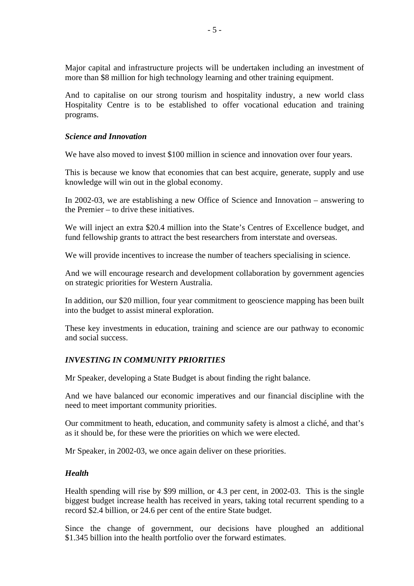Major capital and infrastructure projects will be undertaken including an investment of more than \$8 million for high technology learning and other training equipment.

And to capitalise on our strong tourism and hospitality industry, a new world class Hospitality Centre is to be established to offer vocational education and training programs.

# *Science and Innovation*

We have also moved to invest \$100 million in science and innovation over four years.

This is because we know that economies that can best acquire, generate, supply and use knowledge will win out in the global economy.

In 2002-03, we are establishing a new Office of Science and Innovation – answering to the Premier – to drive these initiatives.

We will inject an extra \$20.4 million into the State's Centres of Excellence budget, and fund fellowship grants to attract the best researchers from interstate and overseas.

We will provide incentives to increase the number of teachers specialising in science.

And we will encourage research and development collaboration by government agencies on strategic priorities for Western Australia.

In addition, our \$20 million, four year commitment to geoscience mapping has been built into the budget to assist mineral exploration.

These key investments in education, training and science are our pathway to economic and social success.

# *INVESTING IN COMMUNITY PRIORITIES*

Mr Speaker, developing a State Budget is about finding the right balance.

And we have balanced our economic imperatives and our financial discipline with the need to meet important community priorities.

Our commitment to heath, education, and community safety is almost a cliché, and that's as it should be, for these were the priorities on which we were elected.

Mr Speaker, in 2002-03, we once again deliver on these priorities.

# *Health*

Health spending will rise by \$99 million, or 4.3 per cent, in 2002-03. This is the single biggest budget increase health has received in years, taking total recurrent spending to a record \$2.4 billion, or 24.6 per cent of the entire State budget.

Since the change of government, our decisions have ploughed an additional \$1.345 billion into the health portfolio over the forward estimates.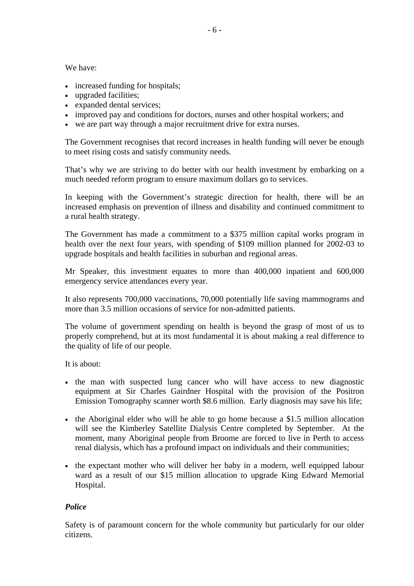We have:

- increased funding for hospitals;
- upgraded facilities;
- expanded dental services;
- improved pay and conditions for doctors, nurses and other hospital workers; and
- we are part way through a major recruitment drive for extra nurses.

The Government recognises that record increases in health funding will never be enough to meet rising costs and satisfy community needs.

That's why we are striving to do better with our health investment by embarking on a much needed reform program to ensure maximum dollars go to services.

In keeping with the Government's strategic direction for health, there will be an increased emphasis on prevention of illness and disability and continued commitment to a rural health strategy.

The Government has made a commitment to a \$375 million capital works program in health over the next four years, with spending of \$109 million planned for 2002-03 to upgrade hospitals and health facilities in suburban and regional areas.

Mr Speaker, this investment equates to more than 400,000 inpatient and 600,000 emergency service attendances every year.

It also represents 700,000 vaccinations, 70,000 potentially life saving mammograms and more than 3.5 million occasions of service for non-admitted patients.

The volume of government spending on health is beyond the grasp of most of us to properly comprehend, but at its most fundamental it is about making a real difference to the quality of life of our people.

It is about:

- the man with suspected lung cancer who will have access to new diagnostic equipment at Sir Charles Gairdner Hospital with the provision of the Positron Emission Tomography scanner worth \$8.6 million. Early diagnosis may save his life;
- the Aboriginal elder who will be able to go home because a \$1.5 million allocation will see the Kimberley Satellite Dialysis Centre completed by September. At the moment, many Aboriginal people from Broome are forced to live in Perth to access renal dialysis, which has a profound impact on individuals and their communities;
- the expectant mother who will deliver her baby in a modern, well equipped labour ward as a result of our \$15 million allocation to upgrade King Edward Memorial Hospital.

# *Police*

Safety is of paramount concern for the whole community but particularly for our older citizens.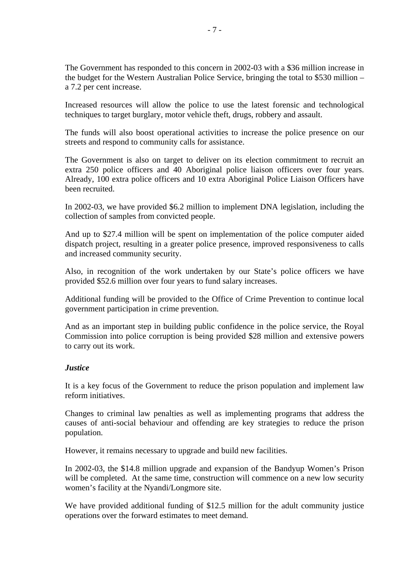The Government has responded to this concern in 2002-03 with a \$36 million increase in the budget for the Western Australian Police Service, bringing the total to \$530 million – a 7.2 per cent increase.

Increased resources will allow the police to use the latest forensic and technological techniques to target burglary, motor vehicle theft, drugs, robbery and assault.

The funds will also boost operational activities to increase the police presence on our streets and respond to community calls for assistance.

The Government is also on target to deliver on its election commitment to recruit an extra 250 police officers and 40 Aboriginal police liaison officers over four years. Already, 100 extra police officers and 10 extra Aboriginal Police Liaison Officers have been recruited.

In 2002-03, we have provided \$6.2 million to implement DNA legislation, including the collection of samples from convicted people.

And up to \$27.4 million will be spent on implementation of the police computer aided dispatch project, resulting in a greater police presence, improved responsiveness to calls and increased community security.

Also, in recognition of the work undertaken by our State's police officers we have provided \$52.6 million over four years to fund salary increases.

Additional funding will be provided to the Office of Crime Prevention to continue local government participation in crime prevention.

And as an important step in building public confidence in the police service, the Royal Commission into police corruption is being provided \$28 million and extensive powers to carry out its work.

# *Justice*

It is a key focus of the Government to reduce the prison population and implement law reform initiatives.

Changes to criminal law penalties as well as implementing programs that address the causes of anti-social behaviour and offending are key strategies to reduce the prison population.

However, it remains necessary to upgrade and build new facilities.

In 2002-03, the \$14.8 million upgrade and expansion of the Bandyup Women's Prison will be completed. At the same time, construction will commence on a new low security women's facility at the Nyandi/Longmore site.

We have provided additional funding of \$12.5 million for the adult community justice operations over the forward estimates to meet demand.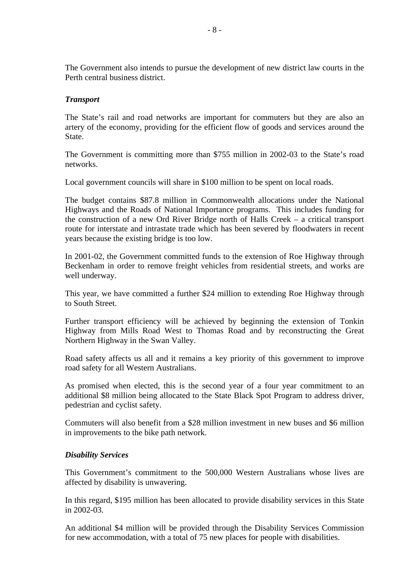The Government also intends to pursue the development of new district law courts in the Perth central business district.

# *Transport*

The State's rail and road networks are important for commuters but they are also an artery of the economy, providing for the efficient flow of goods and services around the State.

The Government is committing more than \$755 million in 2002-03 to the State's road networks.

Local government councils will share in \$100 million to be spent on local roads.

The budget contains \$87.8 million in Commonwealth allocations under the National Highways and the Roads of National Importance programs. This includes funding for the construction of a new Ord River Bridge north of Halls Creek – a critical transport route for interstate and intrastate trade which has been severed by floodwaters in recent years because the existing bridge is too low.

In 2001-02, the Government committed funds to the extension of Roe Highway through Beckenham in order to remove freight vehicles from residential streets, and works are well underway.

This year, we have committed a further \$24 million to extending Roe Highway through to South Street.

Further transport efficiency will be achieved by beginning the extension of Tonkin Highway from Mills Road West to Thomas Road and by reconstructing the Great Northern Highway in the Swan Valley.

Road safety affects us all and it remains a key priority of this government to improve road safety for all Western Australians.

As promised when elected, this is the second year of a four year commitment to an additional \$8 million being allocated to the State Black Spot Program to address driver, pedestrian and cyclist safety.

Commuters will also benefit from a \$28 million investment in new buses and \$6 million in improvements to the bike path network.

# *Disability Services*

This Government's commitment to the 500,000 Western Australians whose lives are affected by disability is unwavering.

In this regard, \$195 million has been allocated to provide disability services in this State in 2002-03.

An additional \$4 million will be provided through the Disability Services Commission for new accommodation, with a total of 75 new places for people with disabilities.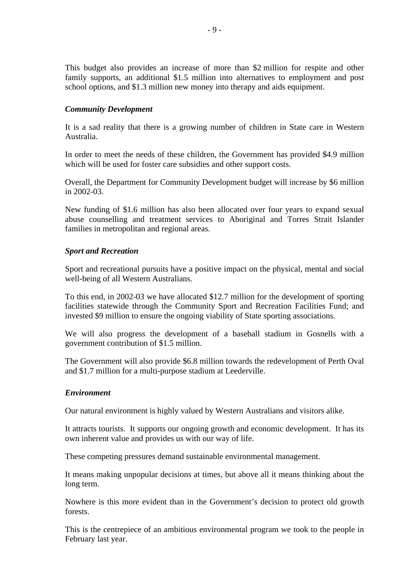This budget also provides an increase of more than \$2 million for respite and other family supports, an additional \$1.5 million into alternatives to employment and post school options, and \$1.3 million new money into therapy and aids equipment.

### *Community Development*

It is a sad reality that there is a growing number of children in State care in Western Australia.

In order to meet the needs of these children, the Government has provided \$4.9 million which will be used for foster care subsidies and other support costs.

Overall, the Department for Community Development budget will increase by \$6 million in 2002-03.

New funding of \$1.6 million has also been allocated over four years to expand sexual abuse counselling and treatment services to Aboriginal and Torres Strait Islander families in metropolitan and regional areas.

### *Sport and Recreation*

Sport and recreational pursuits have a positive impact on the physical, mental and social well-being of all Western Australians.

To this end, in 2002-03 we have allocated \$12.7 million for the development of sporting facilities statewide through the Community Sport and Recreation Facilities Fund; and invested \$9 million to ensure the ongoing viability of State sporting associations.

We will also progress the development of a baseball stadium in Gosnells with a government contribution of \$1.5 million.

The Government will also provide \$6.8 million towards the redevelopment of Perth Oval and \$1.7 million for a multi-purpose stadium at Leederville.

#### *Environment*

Our natural environment is highly valued by Western Australians and visitors alike.

It attracts tourists. It supports our ongoing growth and economic development. It has its own inherent value and provides us with our way of life.

These competing pressures demand sustainable environmental management.

It means making unpopular decisions at times, but above all it means thinking about the long term.

Nowhere is this more evident than in the Government's decision to protect old growth forests.

This is the centrepiece of an ambitious environmental program we took to the people in February last year.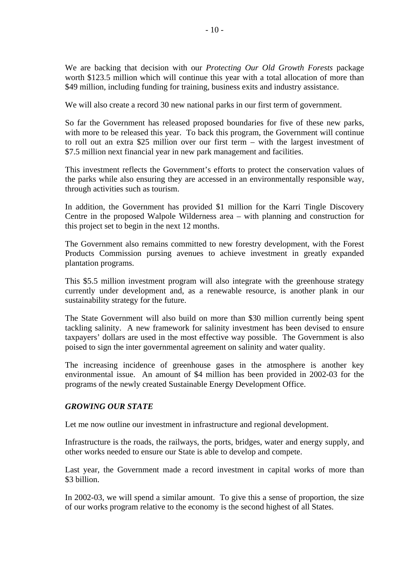We are backing that decision with our *Protecting Our Old Growth Forests* package worth \$123.5 million which will continue this year with a total allocation of more than \$49 million, including funding for training, business exits and industry assistance.

We will also create a record 30 new national parks in our first term of government.

So far the Government has released proposed boundaries for five of these new parks, with more to be released this year. To back this program, the Government will continue to roll out an extra \$25 million over our first term – with the largest investment of \$7.5 million next financial year in new park management and facilities.

This investment reflects the Government's efforts to protect the conservation values of the parks while also ensuring they are accessed in an environmentally responsible way, through activities such as tourism.

In addition, the Government has provided \$1 million for the Karri Tingle Discovery Centre in the proposed Walpole Wilderness area – with planning and construction for this project set to begin in the next 12 months.

The Government also remains committed to new forestry development, with the Forest Products Commission pursing avenues to achieve investment in greatly expanded plantation programs.

This \$5.5 million investment program will also integrate with the greenhouse strategy currently under development and, as a renewable resource, is another plank in our sustainability strategy for the future.

The State Government will also build on more than \$30 million currently being spent tackling salinity. A new framework for salinity investment has been devised to ensure taxpayers' dollars are used in the most effective way possible. The Government is also poised to sign the inter governmental agreement on salinity and water quality.

The increasing incidence of greenhouse gases in the atmosphere is another key environmental issue. An amount of \$4 million has been provided in 2002-03 for the programs of the newly created Sustainable Energy Development Office.

# *GROWING OUR STATE*

Let me now outline our investment in infrastructure and regional development.

Infrastructure is the roads, the railways, the ports, bridges, water and energy supply, and other works needed to ensure our State is able to develop and compete.

Last year, the Government made a record investment in capital works of more than \$3 billion.

In 2002-03, we will spend a similar amount. To give this a sense of proportion, the size of our works program relative to the economy is the second highest of all States.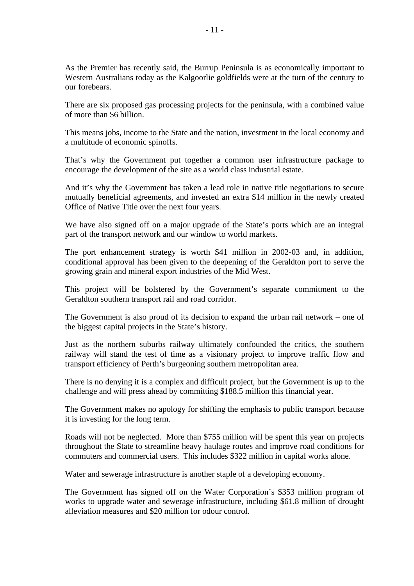As the Premier has recently said, the Burrup Peninsula is as economically important to Western Australians today as the Kalgoorlie goldfields were at the turn of the century to our forebears.

There are six proposed gas processing projects for the peninsula, with a combined value of more than \$6 billion.

This means jobs, income to the State and the nation, investment in the local economy and a multitude of economic spinoffs.

That's why the Government put together a common user infrastructure package to encourage the development of the site as a world class industrial estate.

And it's why the Government has taken a lead role in native title negotiations to secure mutually beneficial agreements, and invested an extra \$14 million in the newly created Office of Native Title over the next four years.

We have also signed off on a major upgrade of the State's ports which are an integral part of the transport network and our window to world markets.

The port enhancement strategy is worth \$41 million in 2002-03 and, in addition, conditional approval has been given to the deepening of the Geraldton port to serve the growing grain and mineral export industries of the Mid West.

This project will be bolstered by the Government's separate commitment to the Geraldton southern transport rail and road corridor.

The Government is also proud of its decision to expand the urban rail network – one of the biggest capital projects in the State's history.

Just as the northern suburbs railway ultimately confounded the critics, the southern railway will stand the test of time as a visionary project to improve traffic flow and transport efficiency of Perth's burgeoning southern metropolitan area.

There is no denying it is a complex and difficult project, but the Government is up to the challenge and will press ahead by committing \$188.5 million this financial year.

The Government makes no apology for shifting the emphasis to public transport because it is investing for the long term.

Roads will not be neglected. More than \$755 million will be spent this year on projects throughout the State to streamline heavy haulage routes and improve road conditions for commuters and commercial users. This includes \$322 million in capital works alone.

Water and sewerage infrastructure is another staple of a developing economy.

The Government has signed off on the Water Corporation's \$353 million program of works to upgrade water and sewerage infrastructure, including \$61.8 million of drought alleviation measures and \$20 million for odour control.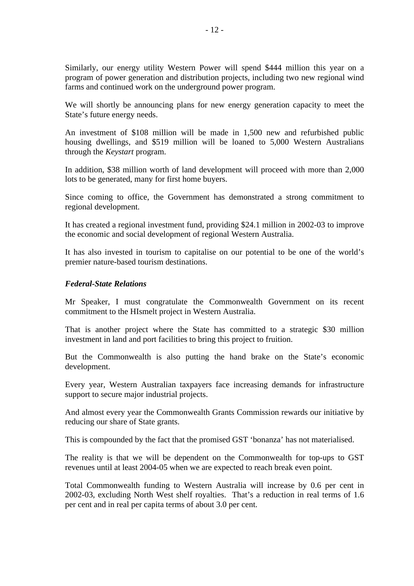Similarly, our energy utility Western Power will spend \$444 million this year on a program of power generation and distribution projects, including two new regional wind farms and continued work on the underground power program.

We will shortly be announcing plans for new energy generation capacity to meet the State's future energy needs.

An investment of \$108 million will be made in 1,500 new and refurbished public housing dwellings, and \$519 million will be loaned to 5,000 Western Australians through the *Keystart* program.

In addition, \$38 million worth of land development will proceed with more than 2,000 lots to be generated, many for first home buyers.

Since coming to office, the Government has demonstrated a strong commitment to regional development.

It has created a regional investment fund, providing \$24.1 million in 2002-03 to improve the economic and social development of regional Western Australia.

It has also invested in tourism to capitalise on our potential to be one of the world's premier nature-based tourism destinations.

#### *Federal-State Relations*

Mr Speaker, I must congratulate the Commonwealth Government on its recent commitment to the HIsmelt project in Western Australia.

That is another project where the State has committed to a strategic \$30 million investment in land and port facilities to bring this project to fruition.

But the Commonwealth is also putting the hand brake on the State's economic development.

Every year, Western Australian taxpayers face increasing demands for infrastructure support to secure major industrial projects.

And almost every year the Commonwealth Grants Commission rewards our initiative by reducing our share of State grants.

This is compounded by the fact that the promised GST 'bonanza' has not materialised.

The reality is that we will be dependent on the Commonwealth for top-ups to GST revenues until at least 2004-05 when we are expected to reach break even point.

Total Commonwealth funding to Western Australia will increase by 0.6 per cent in 2002-03, excluding North West shelf royalties. That's a reduction in real terms of 1.6 per cent and in real per capita terms of about 3.0 per cent.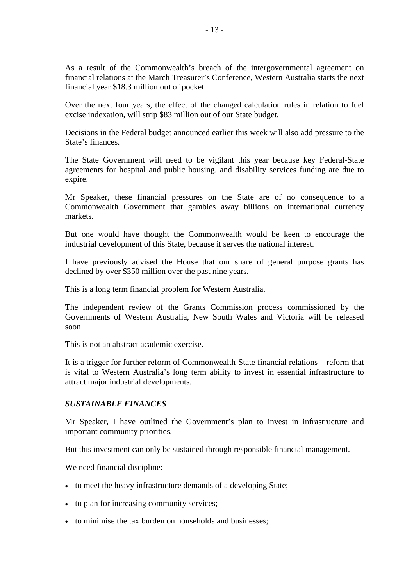As a result of the Commonwealth's breach of the intergovernmental agreement on financial relations at the March Treasurer's Conference, Western Australia starts the next financial year \$18.3 million out of pocket.

Over the next four years, the effect of the changed calculation rules in relation to fuel excise indexation, will strip \$83 million out of our State budget.

Decisions in the Federal budget announced earlier this week will also add pressure to the State's finances.

The State Government will need to be vigilant this year because key Federal-State agreements for hospital and public housing, and disability services funding are due to expire.

Mr Speaker, these financial pressures on the State are of no consequence to a Commonwealth Government that gambles away billions on international currency markets.

But one would have thought the Commonwealth would be keen to encourage the industrial development of this State, because it serves the national interest.

I have previously advised the House that our share of general purpose grants has declined by over \$350 million over the past nine years.

This is a long term financial problem for Western Australia.

The independent review of the Grants Commission process commissioned by the Governments of Western Australia, New South Wales and Victoria will be released soon.

This is not an abstract academic exercise.

It is a trigger for further reform of Commonwealth-State financial relations – reform that is vital to Western Australia's long term ability to invest in essential infrastructure to attract major industrial developments.

# *SUSTAINABLE FINANCES*

Mr Speaker, I have outlined the Government's plan to invest in infrastructure and important community priorities.

But this investment can only be sustained through responsible financial management.

We need financial discipline:

- to meet the heavy infrastructure demands of a developing State;
- to plan for increasing community services;
- to minimise the tax burden on households and businesses;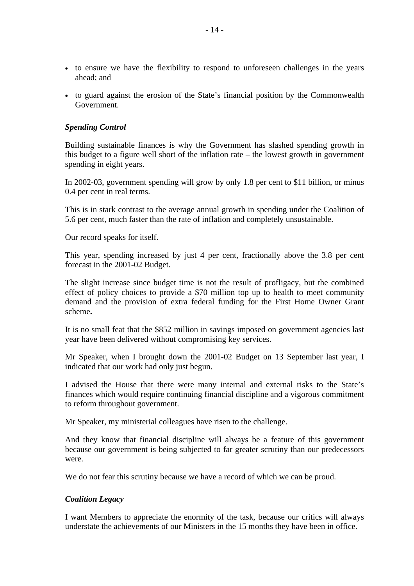- to ensure we have the flexibility to respond to unforeseen challenges in the years ahead; and
- to guard against the erosion of the State's financial position by the Commonwealth Government.

# *Spending Control*

Building sustainable finances is why the Government has slashed spending growth in this budget to a figure well short of the inflation rate – the lowest growth in government spending in eight years.

In 2002-03, government spending will grow by only 1.8 per cent to \$11 billion, or minus 0.4 per cent in real terms.

This is in stark contrast to the average annual growth in spending under the Coalition of 5.6 per cent, much faster than the rate of inflation and completely unsustainable.

Our record speaks for itself.

This year, spending increased by just 4 per cent, fractionally above the 3.8 per cent forecast in the 2001-02 Budget.

The slight increase since budget time is not the result of profligacy, but the combined effect of policy choices to provide a \$70 million top up to health to meet community demand and the provision of extra federal funding for the First Home Owner Grant scheme**.**

It is no small feat that the \$852 million in savings imposed on government agencies last year have been delivered without compromising key services.

Mr Speaker, when I brought down the 2001-02 Budget on 13 September last year, I indicated that our work had only just begun.

I advised the House that there were many internal and external risks to the State's finances which would require continuing financial discipline and a vigorous commitment to reform throughout government.

Mr Speaker, my ministerial colleagues have risen to the challenge.

And they know that financial discipline will always be a feature of this government because our government is being subjected to far greater scrutiny than our predecessors were.

We do not fear this scrutiny because we have a record of which we can be proud.

# *Coalition Legacy*

I want Members to appreciate the enormity of the task, because our critics will always understate the achievements of our Ministers in the 15 months they have been in office.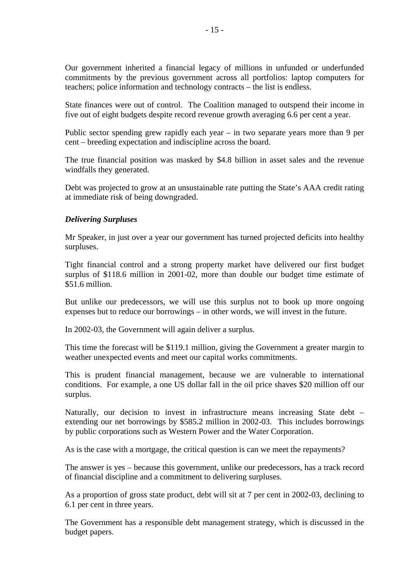Our government inherited a financial legacy of millions in unfunded or underfunded commitments by the previous government across all portfolios: laptop computers for teachers; police information and technology contracts – the list is endless.

State finances were out of control. The Coalition managed to outspend their income in five out of eight budgets despite record revenue growth averaging 6.6 per cent a year.

Public sector spending grew rapidly each year – in two separate years more than 9 per cent – breeding expectation and indiscipline across the board.

The true financial position was masked by \$4.8 billion in asset sales and the revenue windfalls they generated.

Debt was projected to grow at an unsustainable rate putting the State's AAA credit rating at immediate risk of being downgraded.

# *Delivering Surpluses*

Mr Speaker, in just over a year our government has turned projected deficits into healthy surpluses.

Tight financial control and a strong property market have delivered our first budget surplus of \$118.6 million in 2001-02, more than double our budget time estimate of \$51.6 million.

But unlike our predecessors, we will use this surplus not to book up more ongoing expenses but to reduce our borrowings – in other words, we will invest in the future.

In 2002-03, the Government will again deliver a surplus.

This time the forecast will be \$119.1 million, giving the Government a greater margin to weather unexpected events and meet our capital works commitments.

This is prudent financial management, because we are vulnerable to international conditions. For example, a one US dollar fall in the oil price shaves \$20 million off our surplus.

Naturally, our decision to invest in infrastructure means increasing State debt – extending our net borrowings by \$585.2 million in 2002-03. This includes borrowings by public corporations such as Western Power and the Water Corporation.

As is the case with a mortgage, the critical question is can we meet the repayments?

The answer is yes – because this government, unlike our predecessors, has a track record of financial discipline and a commitment to delivering surpluses.

As a proportion of gross state product, debt will sit at 7 per cent in 2002-03, declining to 6.1 per cent in three years.

The Government has a responsible debt management strategy, which is discussed in the budget papers.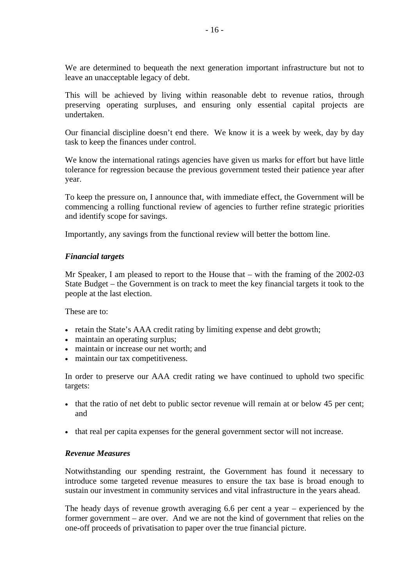We are determined to bequeath the next generation important infrastructure but not to leave an unacceptable legacy of debt.

This will be achieved by living within reasonable debt to revenue ratios, through preserving operating surpluses, and ensuring only essential capital projects are undertaken.

Our financial discipline doesn't end there. We know it is a week by week, day by day task to keep the finances under control.

We know the international ratings agencies have given us marks for effort but have little tolerance for regression because the previous government tested their patience year after year.

To keep the pressure on, I announce that, with immediate effect, the Government will be commencing a rolling functional review of agencies to further refine strategic priorities and identify scope for savings.

Importantly, any savings from the functional review will better the bottom line.

# *Financial targets*

Mr Speaker, I am pleased to report to the House that – with the framing of the 2002-03 State Budget – the Government is on track to meet the key financial targets it took to the people at the last election.

These are to:

- retain the State's AAA credit rating by limiting expense and debt growth;
- maintain an operating surplus;
- maintain or increase our net worth; and
- maintain our tax competitiveness.

In order to preserve our AAA credit rating we have continued to uphold two specific targets:

- that the ratio of net debt to public sector revenue will remain at or below 45 per cent; and
- that real per capita expenses for the general government sector will not increase.

# *Revenue Measures*

Notwithstanding our spending restraint, the Government has found it necessary to introduce some targeted revenue measures to ensure the tax base is broad enough to sustain our investment in community services and vital infrastructure in the years ahead.

The heady days of revenue growth averaging 6.6 per cent a year – experienced by the former government – are over. And we are not the kind of government that relies on the one-off proceeds of privatisation to paper over the true financial picture.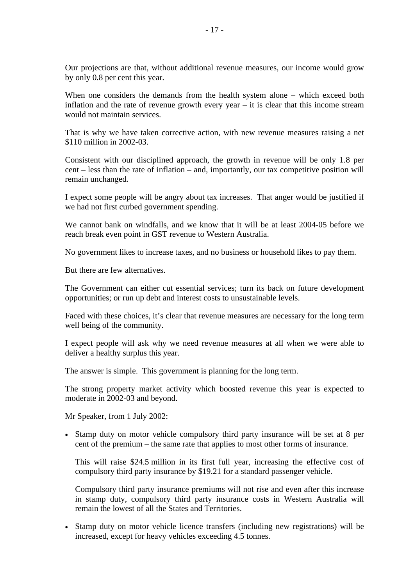Our projections are that, without additional revenue measures, our income would grow by only 0.8 per cent this year.

When one considers the demands from the health system alone – which exceed both inflation and the rate of revenue growth every year – it is clear that this income stream would not maintain services.

That is why we have taken corrective action, with new revenue measures raising a net \$110 million in 2002-03.

Consistent with our disciplined approach, the growth in revenue will be only 1.8 per cent – less than the rate of inflation – and, importantly, our tax competitive position will remain unchanged.

I expect some people will be angry about tax increases. That anger would be justified if we had not first curbed government spending.

We cannot bank on windfalls, and we know that it will be at least 2004-05 before we reach break even point in GST revenue to Western Australia.

No government likes to increase taxes, and no business or household likes to pay them.

But there are few alternatives.

The Government can either cut essential services; turn its back on future development opportunities; or run up debt and interest costs to unsustainable levels.

Faced with these choices, it's clear that revenue measures are necessary for the long term well being of the community.

I expect people will ask why we need revenue measures at all when we were able to deliver a healthy surplus this year.

The answer is simple. This government is planning for the long term.

The strong property market activity which boosted revenue this year is expected to moderate in 2002-03 and beyond.

Mr Speaker, from 1 July 2002:

• Stamp duty on motor vehicle compulsory third party insurance will be set at 8 per cent of the premium – the same rate that applies to most other forms of insurance.

This will raise \$24.5 million in its first full year, increasing the effective cost of compulsory third party insurance by \$19.21 for a standard passenger vehicle.

Compulsory third party insurance premiums will not rise and even after this increase in stamp duty, compulsory third party insurance costs in Western Australia will remain the lowest of all the States and Territories.

• Stamp duty on motor vehicle licence transfers (including new registrations) will be increased, except for heavy vehicles exceeding 4.5 tonnes.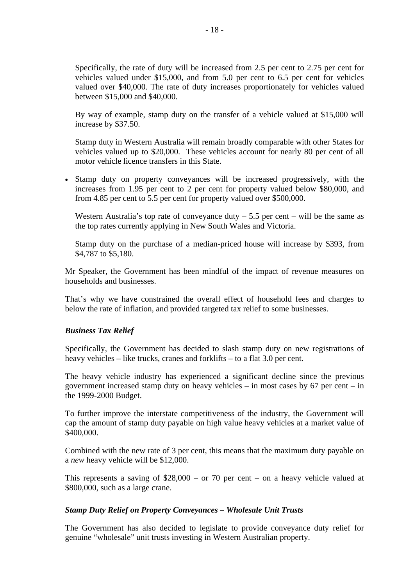Specifically, the rate of duty will be increased from 2.5 per cent to 2.75 per cent for vehicles valued under \$15,000, and from 5.0 per cent to 6.5 per cent for vehicles valued over \$40,000. The rate of duty increases proportionately for vehicles valued between \$15,000 and \$40,000.

By way of example, stamp duty on the transfer of a vehicle valued at \$15,000 will increase by \$37.50.

Stamp duty in Western Australia will remain broadly comparable with other States for vehicles valued up to \$20,000. These vehicles account for nearly 80 per cent of all motor vehicle licence transfers in this State.

• Stamp duty on property conveyances will be increased progressively, with the increases from 1.95 per cent to 2 per cent for property valued below \$80,000, and from 4.85 per cent to 5.5 per cent for property valued over \$500,000.

Western Australia's top rate of conveyance duty  $-5.5$  per cent – will be the same as the top rates currently applying in New South Wales and Victoria.

Stamp duty on the purchase of a median-priced house will increase by \$393, from \$4,787 to \$5,180.

Mr Speaker, the Government has been mindful of the impact of revenue measures on households and businesses.

That's why we have constrained the overall effect of household fees and charges to below the rate of inflation, and provided targeted tax relief to some businesses.

# *Business Tax Relief*

Specifically, the Government has decided to slash stamp duty on new registrations of heavy vehicles – like trucks, cranes and forklifts – to a flat 3.0 per cent.

The heavy vehicle industry has experienced a significant decline since the previous government increased stamp duty on heavy vehicles – in most cases by 67 per cent – in the 1999-2000 Budget.

To further improve the interstate competitiveness of the industry, the Government will cap the amount of stamp duty payable on high value heavy vehicles at a market value of \$400,000.

Combined with the new rate of 3 per cent, this means that the maximum duty payable on a *new* heavy vehicle will be \$12,000.

This represents a saving of \$28,000 – or 70 per cent – on a heavy vehicle valued at \$800,000, such as a large crane.

#### *Stamp Duty Relief on Property Conveyances – Wholesale Unit Trusts*

The Government has also decided to legislate to provide conveyance duty relief for genuine "wholesale" unit trusts investing in Western Australian property.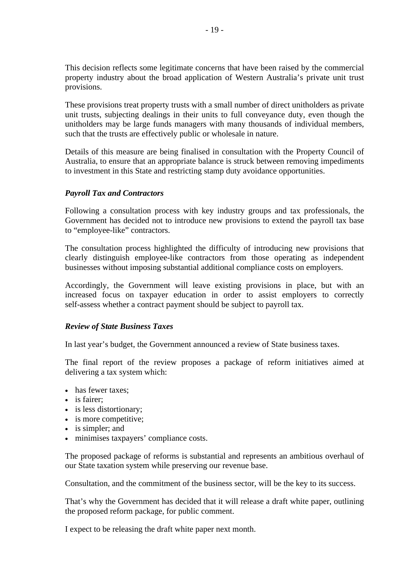This decision reflects some legitimate concerns that have been raised by the commercial property industry about the broad application of Western Australia's private unit trust provisions.

These provisions treat property trusts with a small number of direct unitholders as private unit trusts, subjecting dealings in their units to full conveyance duty, even though the unitholders may be large funds managers with many thousands of individual members, such that the trusts are effectively public or wholesale in nature.

Details of this measure are being finalised in consultation with the Property Council of Australia, to ensure that an appropriate balance is struck between removing impediments to investment in this State and restricting stamp duty avoidance opportunities.

# *Payroll Tax and Contractors*

Following a consultation process with key industry groups and tax professionals, the Government has decided not to introduce new provisions to extend the payroll tax base to "employee-like" contractors.

The consultation process highlighted the difficulty of introducing new provisions that clearly distinguish employee-like contractors from those operating as independent businesses without imposing substantial additional compliance costs on employers.

Accordingly, the Government will leave existing provisions in place, but with an increased focus on taxpayer education in order to assist employers to correctly self-assess whether a contract payment should be subject to payroll tax.

# *Review of State Business Taxes*

In last year's budget, the Government announced a review of State business taxes.

The final report of the review proposes a package of reform initiatives aimed at delivering a tax system which:

- has fewer taxes:
- is fairer;
- is less distortionary:
- is more competitive;
- is simpler; and
- minimises taxpayers' compliance costs.

The proposed package of reforms is substantial and represents an ambitious overhaul of our State taxation system while preserving our revenue base.

Consultation, and the commitment of the business sector, will be the key to its success.

That's why the Government has decided that it will release a draft white paper, outlining the proposed reform package, for public comment.

I expect to be releasing the draft white paper next month.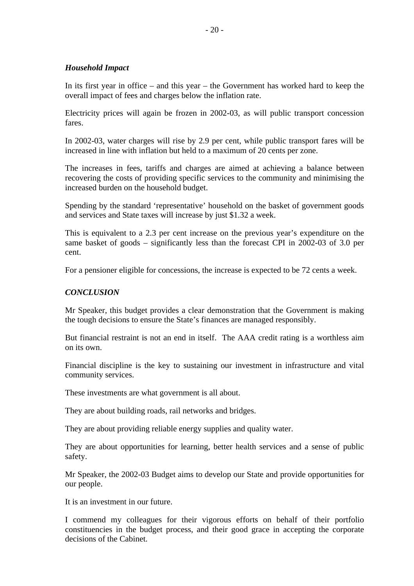# *Household Impact*

In its first year in office – and this year – the Government has worked hard to keep the overall impact of fees and charges below the inflation rate.

Electricity prices will again be frozen in 2002-03, as will public transport concession fares.

In 2002-03, water charges will rise by 2.9 per cent, while public transport fares will be increased in line with inflation but held to a maximum of 20 cents per zone.

The increases in fees, tariffs and charges are aimed at achieving a balance between recovering the costs of providing specific services to the community and minimising the increased burden on the household budget.

Spending by the standard 'representative' household on the basket of government goods and services and State taxes will increase by just \$1.32 a week.

This is equivalent to a 2.3 per cent increase on the previous year's expenditure on the same basket of goods – significantly less than the forecast CPI in 2002-03 of 3.0 per cent.

For a pensioner eligible for concessions, the increase is expected to be 72 cents a week.

# *CONCLUSION*

Mr Speaker, this budget provides a clear demonstration that the Government is making the tough decisions to ensure the State's finances are managed responsibly.

But financial restraint is not an end in itself. The AAA credit rating is a worthless aim on its own.

Financial discipline is the key to sustaining our investment in infrastructure and vital community services.

These investments are what government is all about.

They are about building roads, rail networks and bridges.

They are about providing reliable energy supplies and quality water.

They are about opportunities for learning, better health services and a sense of public safety.

Mr Speaker, the 2002-03 Budget aims to develop our State and provide opportunities for our people.

It is an investment in our future.

I commend my colleagues for their vigorous efforts on behalf of their portfolio constituencies in the budget process, and their good grace in accepting the corporate decisions of the Cabinet.